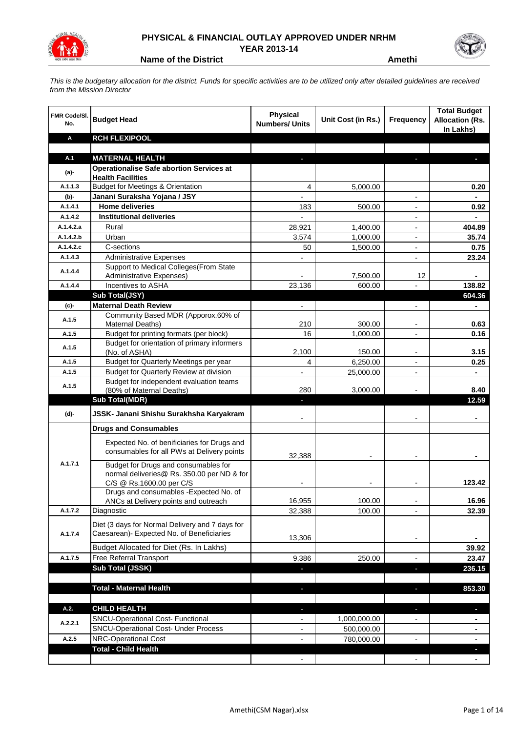

## **PHYSICAL & FINANCIAL OUTLAY APPROVED UNDER NRHM YEAR 2013-14**



**Name of the District Amethi** 

*This is the budgetary allocation for the district. Funds for specific activities are to be utilized only after detailed guidelines are received from the Mission Director*

| <b>FMR Code/SI.</b><br>No. | <b>Budget Head</b>                                                                           | <b>Physical</b><br><b>Numbers/ Units</b> | Unit Cost (in Rs.) | Frequency                    | <b>Total Budget</b><br><b>Allocation (Rs.</b><br>In Lakhs) |
|----------------------------|----------------------------------------------------------------------------------------------|------------------------------------------|--------------------|------------------------------|------------------------------------------------------------|
| Α                          | <b>RCH FLEXIPOOL</b>                                                                         |                                          |                    |                              |                                                            |
|                            |                                                                                              |                                          |                    |                              |                                                            |
| A.1                        | <b>MATERNAL HEALTH</b>                                                                       |                                          |                    |                              |                                                            |
| $(a)$ -                    | <b>Operationalise Safe abortion Services at</b><br><b>Health Facilities</b>                  |                                          |                    |                              |                                                            |
| A.1.1.3                    | <b>Budget for Meetings &amp; Orientation</b>                                                 | 4                                        | 5,000.00           |                              | 0.20                                                       |
| (b)-                       | Janani Suraksha Yojana / JSY                                                                 |                                          |                    |                              |                                                            |
| A.1.4.1                    | <b>Home deliveries</b>                                                                       | 183                                      | 500.00             |                              | 0.92                                                       |
| A.1.4.2                    | <b>Institutional deliveries</b>                                                              |                                          |                    | $\blacksquare$               |                                                            |
| A.1.4.2.a                  | Rural                                                                                        | 28,921                                   | 1,400.00           | $\blacksquare$               | 404.89                                                     |
| A.1.4.2.b                  | Urban                                                                                        | 3,574                                    | 1,000.00           | $\blacksquare$               | 35.74                                                      |
| A.1.4.2.c                  | C-sections                                                                                   | 50                                       | 1,500.00           | $\overline{\phantom{a}}$     | 0.75                                                       |
| A.1.4.3                    | <b>Administrative Expenses</b>                                                               |                                          |                    | $\blacksquare$               | 23.24                                                      |
| A.1.4.4                    | Support to Medical Colleges (From State                                                      |                                          |                    |                              |                                                            |
|                            | Administrative Expenses)                                                                     |                                          | 7,500.00           | 12                           |                                                            |
| A.1.4.4                    | Incentives to ASHA                                                                           | 23,136                                   | 600.00             |                              | 138.82                                                     |
|                            | Sub Total(JSY)                                                                               |                                          |                    |                              | 604.36                                                     |
| (c)-                       | <b>Maternal Death Review</b>                                                                 |                                          |                    |                              |                                                            |
| A.1.5                      | Community Based MDR (Apporox.60% of<br>Maternal Deaths)                                      | 210                                      | 300.00             | $\overline{\phantom{a}}$     | 0.63                                                       |
| A.1.5                      | Budget for printing formats (per block)                                                      | 16                                       | 1,000.00           | $\overline{\phantom{a}}$     | 0.16                                                       |
|                            | Budget for orientation of primary informers                                                  |                                          |                    |                              |                                                            |
| A.1.5                      | (No. of ASHA)                                                                                | 2,100                                    | 150.00             | $\overline{\phantom{a}}$     | 3.15                                                       |
| A.1.5                      | Budget for Quarterly Meetings per year                                                       | 4                                        | 6,250.00           |                              | 0.25                                                       |
| A.1.5                      | Budget for Quarterly Review at division                                                      |                                          | 25,000.00          |                              |                                                            |
| A.1.5                      | Budget for independent evaluation teams                                                      |                                          |                    |                              |                                                            |
|                            | (80% of Maternal Deaths)                                                                     | 280                                      | 3,000.00           |                              | 8.40                                                       |
|                            | <b>Sub Total(MDR)</b>                                                                        |                                          |                    |                              | 12.59                                                      |
| (d)-                       | JSSK- Janani Shishu Surakhsha Karyakram                                                      |                                          |                    |                              |                                                            |
|                            | <b>Drugs and Consumables</b>                                                                 |                                          |                    |                              |                                                            |
|                            | Expected No. of benificiaries for Drugs and<br>consumables for all PWs at Delivery points    | 32,388                                   |                    |                              |                                                            |
| A.1.7.1                    | Budget for Drugs and consumables for                                                         |                                          |                    |                              |                                                            |
|                            | normal deliveries@ Rs. 350.00 per ND & for                                                   |                                          |                    |                              |                                                            |
|                            | C/S @ Rs.1600.00 per C/S<br>Drugs and consumables - Expected No. of                          |                                          |                    |                              | 123.42                                                     |
|                            | ANCs at Delivery points and outreach                                                         | 16,955                                   | 100.00             | $\overline{\phantom{a}}$     | 16.96                                                      |
| A.1.7.2                    | Diagnostic                                                                                   | 32,388                                   | 100.00             | $\qquad \qquad \blacksquare$ | 32.39                                                      |
|                            |                                                                                              |                                          |                    |                              |                                                            |
| A.1.7.4                    | Diet (3 days for Normal Delivery and 7 days for<br>Caesarean)- Expected No. of Beneficiaries |                                          |                    |                              |                                                            |
|                            |                                                                                              | 13,306                                   |                    |                              | ۰                                                          |
|                            | Budget Allocated for Diet (Rs. In Lakhs)                                                     |                                          |                    |                              | 39.92                                                      |
| A.1.7.5                    | Free Referral Transport                                                                      | 9,386                                    | 250.00             | $\overline{a}$               | 23.47                                                      |
|                            | Sub Total (JSSK)                                                                             | ÷,                                       |                    | ÷,                           | 236.15                                                     |
|                            |                                                                                              |                                          |                    |                              |                                                            |
|                            | <b>Total - Maternal Health</b>                                                               | ٠                                        |                    | J,                           | 853.30                                                     |
| A.2.                       | <b>CHILD HEALTH</b>                                                                          | J,                                       |                    | L.                           | L.                                                         |
|                            | SNCU-Operational Cost- Functional                                                            |                                          | 1,000,000.00       |                              |                                                            |
| A.2.2.1                    | SNCU-Operational Cost- Under Process                                                         |                                          | 500,000.00         |                              |                                                            |
| A.2.5                      | NRC-Operational Cost                                                                         |                                          | 780,000.00         | $\overline{a}$               | ۰                                                          |
|                            | <b>Total - Child Health</b>                                                                  |                                          |                    |                              |                                                            |
|                            |                                                                                              |                                          |                    |                              |                                                            |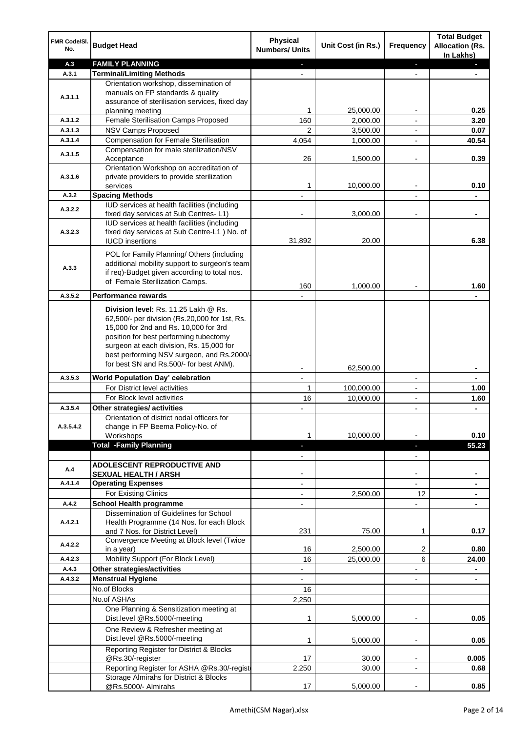| FMR Code/SI.<br>No. | <b>Budget Head</b>                                                                     | <b>Physical</b><br><b>Numbers/ Units</b> | Unit Cost (in Rs.) | <b>Frequency</b>             | <b>Total Budget</b><br><b>Allocation (Rs.</b><br>In Lakhs) |
|---------------------|----------------------------------------------------------------------------------------|------------------------------------------|--------------------|------------------------------|------------------------------------------------------------|
| A.3                 | <b>FAMILY PLANNING</b>                                                                 | ٠                                        |                    | ٠                            |                                                            |
| A.3.1               | <b>Terminal/Limiting Methods</b>                                                       |                                          |                    |                              |                                                            |
|                     | Orientation workshop, dissemination of                                                 |                                          |                    |                              |                                                            |
| A.3.1.1             | manuals on FP standards & quality                                                      |                                          |                    |                              |                                                            |
|                     | assurance of sterilisation services, fixed day                                         |                                          |                    |                              |                                                            |
|                     | planning meeting                                                                       | 1                                        | 25,000.00          |                              | 0.25                                                       |
| A.3.1.2             | Female Sterilisation Camps Proposed                                                    | 160                                      | 2,000.00           |                              | 3.20                                                       |
| A.3.1.3             | <b>NSV Camps Proposed</b>                                                              | 2                                        | 3,500.00           | $\blacksquare$               | 0.07                                                       |
| A.3.1.4             | <b>Compensation for Female Sterilisation</b>                                           | 4,054                                    | 1,000.00           | $\overline{\phantom{a}}$     | 40.54                                                      |
| A.3.1.5             | Compensation for male sterilization/NSV                                                |                                          |                    |                              |                                                            |
|                     | Acceptance                                                                             | 26                                       | 1,500.00           | $\qquad \qquad \blacksquare$ | 0.39                                                       |
| A.3.1.6             | Orientation Workshop on accreditation of<br>private providers to provide sterilization |                                          |                    |                              |                                                            |
|                     | services                                                                               | 1                                        | 10,000.00          | $\overline{a}$               | 0.10                                                       |
| A.3.2               | <b>Spacing Methods</b>                                                                 |                                          |                    | $\overline{a}$               |                                                            |
|                     | IUD services at health facilities (including                                           |                                          |                    |                              |                                                            |
| A.3.2.2             | fixed day services at Sub Centres-L1)                                                  |                                          | 3,000.00           | $\blacksquare$               |                                                            |
|                     | IUD services at health facilities (including                                           |                                          |                    |                              |                                                            |
| A.3.2.3             | fixed day services at Sub Centre-L1 ) No. of                                           |                                          |                    |                              |                                                            |
|                     | <b>IUCD</b> insertions                                                                 | 31,892                                   | 20.00              |                              | 6.38                                                       |
|                     | POL for Family Planning/ Others (including                                             |                                          |                    |                              |                                                            |
|                     | additional mobility support to surgeon's team                                          |                                          |                    |                              |                                                            |
| A.3.3               | if req)-Budget given according to total nos.                                           |                                          |                    |                              |                                                            |
|                     | of Female Sterilization Camps.                                                         | 160                                      | 1,000.00           |                              | 1.60                                                       |
| A.3.5.2             | <b>Performance rewards</b>                                                             |                                          |                    |                              |                                                            |
|                     |                                                                                        |                                          |                    |                              |                                                            |
|                     | Division level: Rs. 11.25 Lakh @ Rs.                                                   |                                          |                    |                              |                                                            |
|                     | 62,500/- per division (Rs.20,000 for 1st, Rs.                                          |                                          |                    |                              |                                                            |
|                     | 15,000 for 2nd and Rs. 10,000 for 3rd                                                  |                                          |                    |                              |                                                            |
|                     | position for best performing tubectomy<br>surgeon at each division, Rs. 15,000 for     |                                          |                    |                              |                                                            |
|                     | best performing NSV surgeon, and Rs.2000/-                                             |                                          |                    |                              |                                                            |
|                     | for best SN and Rs.500/- for best ANM).                                                |                                          |                    |                              |                                                            |
|                     |                                                                                        |                                          | 62,500.00          |                              |                                                            |
| A.3.5.3             | <b>World Population Day' celebration</b>                                               | $\overline{a}$                           |                    | $\blacksquare$               |                                                            |
|                     | For District level activities                                                          | 1                                        | 100,000.00         | $\overline{\phantom{a}}$     | 1.00                                                       |
|                     | For Block level activities                                                             | 16                                       | 10,000.00          | $\overline{\phantom{a}}$     | 1.60                                                       |
| A.3.5.4             | Other strategies/ activities                                                           |                                          |                    | $\overline{\phantom{a}}$     | $\blacksquare$                                             |
|                     | Orientation of district nodal officers for                                             |                                          |                    |                              |                                                            |
| A.3.5.4.2           | change in FP Beema Policy-No. of<br>Workshops                                          | 1                                        | 10,000.00          |                              | 0.10                                                       |
|                     | <b>Total -Family Planning</b>                                                          | a.                                       |                    | ÷.                           | 55.23                                                      |
|                     |                                                                                        |                                          |                    | $\overline{\phantom{a}}$     |                                                            |
|                     | <b>ADOLESCENT REPRODUCTIVE AND</b>                                                     |                                          |                    |                              |                                                            |
| A.4                 | <b>SEXUAL HEALTH / ARSH</b>                                                            |                                          |                    |                              |                                                            |
| A.4.1.4             | <b>Operating Expenses</b>                                                              | $\blacksquare$                           |                    |                              |                                                            |
|                     | For Existing Clinics                                                                   |                                          | 2,500.00           | 12                           |                                                            |
| A.4.2               | <b>School Health programme</b>                                                         |                                          |                    | $\overline{a}$               |                                                            |
|                     | Dissemination of Guidelines for School                                                 |                                          |                    |                              |                                                            |
| A.4.2.1             | Health Programme (14 Nos. for each Block                                               |                                          |                    |                              |                                                            |
|                     | and 7 Nos. for District Level)                                                         | 231                                      | 75.00              | 1                            | 0.17                                                       |
| A.4.2.2             | Convergence Meeting at Block level (Twice                                              |                                          |                    |                              |                                                            |
|                     | in a year)                                                                             | 16                                       | 2,500.00           | 2                            | 0.80                                                       |
| A.4.2.3             | Mobility Support (For Block Level)                                                     | 16                                       | 25,000.00          | 6                            | 24.00                                                      |
| A.4.3               | Other strategies/activities                                                            |                                          |                    |                              | ۰                                                          |
| A.4.3.2             | <b>Menstrual Hygiene</b>                                                               |                                          |                    |                              |                                                            |
|                     | No.of Blocks                                                                           | 16                                       |                    |                              |                                                            |
|                     | No.of ASHAs                                                                            | 2,250                                    |                    |                              |                                                            |
|                     | One Planning & Sensitization meeting at<br>Dist.level @Rs.5000/-meeting                | 1                                        | 5,000.00           |                              | 0.05                                                       |
|                     | One Review & Refresher meeting at<br>Dist.level @Rs.5000/-meeting                      | 1                                        | 5,000.00           |                              | 0.05                                                       |
|                     | Reporting Register for District & Blocks                                               |                                          |                    |                              |                                                            |
|                     | @Rs.30/-register                                                                       | 17                                       | 30.00              | $\blacksquare$               | 0.005                                                      |
|                     | Reporting Register for ASHA @Rs.30/-regist                                             | 2,250                                    | 30.00              |                              | 0.68                                                       |
|                     | Storage Almirahs for District & Blocks                                                 |                                          |                    |                              |                                                            |
|                     | @Rs.5000/- Almirahs                                                                    | 17                                       | 5,000.00           |                              | 0.85                                                       |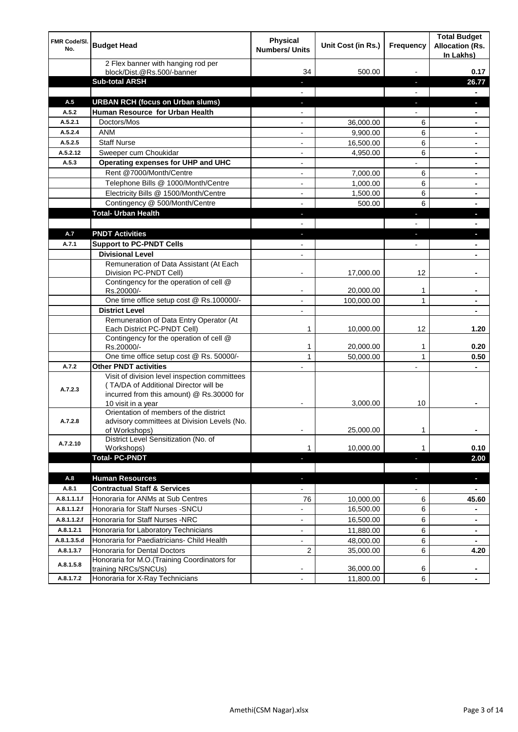| <b>FMR Code/SI.</b><br>No. | <b>Budget Head</b>                                                                                                                  | Physical<br><b>Numbers/ Units</b> | Unit Cost (in Rs.) | Frequency                | <b>Total Budget</b><br><b>Allocation (Rs.</b><br>In Lakhs) |
|----------------------------|-------------------------------------------------------------------------------------------------------------------------------------|-----------------------------------|--------------------|--------------------------|------------------------------------------------------------|
|                            | 2 Flex banner with hanging rod per<br>block/Dist.@Rs.500/-banner                                                                    | 34                                | 500.00             |                          | 0.17                                                       |
|                            | <b>Sub-total ARSH</b>                                                                                                               |                                   |                    | н                        | 26.77                                                      |
| A.5                        | <b>URBAN RCH (focus on Urban slums)</b>                                                                                             |                                   |                    |                          |                                                            |
| A.5.2                      | Human Resource for Urban Health                                                                                                     |                                   |                    |                          |                                                            |
| A.5.2.1                    | Doctors/Mos                                                                                                                         |                                   | 36,000.00          | 6                        |                                                            |
| A.5.2.4                    | <b>ANM</b>                                                                                                                          |                                   | 9,900.00           | 6                        | ٠                                                          |
| A.5.2.5                    | <b>Staff Nurse</b>                                                                                                                  | $\overline{\phantom{0}}$          | 16,500.00          | 6                        | ۰                                                          |
| A.5.2.12                   | Sweeper cum Choukidar                                                                                                               | $\overline{\phantom{a}}$          | 4,950.00           | 6                        | ۰                                                          |
| A.5.3                      | Operating expenses for UHP and UHC                                                                                                  | $\blacksquare$                    |                    |                          | ٠                                                          |
|                            | Rent @7000/Month/Centre                                                                                                             | $\overline{\phantom{a}}$          | 7,000.00           | 6                        | ٠                                                          |
|                            | Telephone Bills @ 1000/Month/Centre                                                                                                 | $\overline{\phantom{a}}$          | 1,000.00           | 6                        | ٠                                                          |
|                            | Electricity Bills @ 1500/Month/Centre                                                                                               |                                   | 1,500.00           | 6                        |                                                            |
|                            | Contingency @ 500/Month/Centre                                                                                                      |                                   | 500.00             | 6                        |                                                            |
|                            | <b>Total- Urban Health</b>                                                                                                          |                                   |                    | L                        |                                                            |
|                            |                                                                                                                                     |                                   |                    |                          |                                                            |
| A.7                        | <b>PNDT Activities</b>                                                                                                              |                                   |                    |                          |                                                            |
| A.7.1                      | <b>Support to PC-PNDT Cells</b>                                                                                                     |                                   |                    |                          |                                                            |
|                            | <b>Divisional Level</b>                                                                                                             |                                   |                    |                          |                                                            |
|                            | Remuneration of Data Assistant (At Each<br>Division PC-PNDT Cell)                                                                   | $\overline{\phantom{0}}$          | 17,000.00          | 12                       |                                                            |
|                            | Contingency for the operation of cell @                                                                                             |                                   |                    |                          |                                                            |
|                            | Rs.20000/-                                                                                                                          |                                   | 20,000.00          | 1                        |                                                            |
|                            | One time office setup cost @ Rs.100000/-                                                                                            |                                   | 100,000.00         | 1                        |                                                            |
|                            | <b>District Level</b>                                                                                                               |                                   |                    |                          |                                                            |
|                            | Remuneration of Data Entry Operator (At<br>Each District PC-PNDT Cell)                                                              | 1                                 | 10,000.00          | 12                       | 1.20                                                       |
|                            | Contingency for the operation of cell @<br>Rs.20000/-                                                                               | 1                                 | 20,000.00          | 1                        | 0.20                                                       |
|                            | One time office setup cost @ Rs. 50000/-                                                                                            | 1                                 | 50,000.00          | 1                        | 0.50                                                       |
| A.7.2                      | <b>Other PNDT activities</b>                                                                                                        |                                   |                    | $\overline{a}$           | ٠                                                          |
| A.7.2.3                    | Visit of division level inspection committees<br>(TA/DA of Additional Director will be<br>incurred from this amount) @ Rs.30000 for |                                   |                    |                          |                                                            |
|                            | 10 visit in a year                                                                                                                  |                                   | 3,000.00           | 10                       |                                                            |
|                            | Orientation of members of the district                                                                                              |                                   |                    |                          |                                                            |
| A.7.2.8                    | advisory committees at Division Levels (No.<br>of Workshops)                                                                        |                                   | 25,000.00          | 1                        | ۰                                                          |
|                            | District Level Sensitization (No. of                                                                                                |                                   |                    |                          |                                                            |
| A.7.2.10                   | Workshops)                                                                                                                          | 1                                 | 10,000.00          | 1                        | 0.10                                                       |
|                            | <b>Total-PC-PNDT</b>                                                                                                                |                                   |                    |                          | 2.00                                                       |
|                            |                                                                                                                                     |                                   |                    |                          |                                                            |
| A.8                        | <b>Human Resources</b>                                                                                                              |                                   |                    | $\overline{\phantom{a}}$ | ×,                                                         |
| A.8.1                      | <b>Contractual Staff &amp; Services</b>                                                                                             |                                   |                    |                          | ٠                                                          |
| A.8.1.1.1.f                | Honoraria for ANMs at Sub Centres                                                                                                   | 76                                | 10,000.00          | 6                        | 45.60                                                      |
| A.8.1.1.2.f                | Honoraria for Staff Nurses - SNCU                                                                                                   |                                   | 16,500.00          | 6                        |                                                            |
| A.8.1.1.2.f                | Honoraria for Staff Nurses -NRC                                                                                                     |                                   | 16,500.00          | 6                        | ۰                                                          |
| A.8.1.2.1                  | Honoraria for Laboratory Technicians                                                                                                | $\blacksquare$                    | 11,880.00          | 6                        | ٠                                                          |
| A.8.1.3.5.d                | Honoraria for Paediatricians- Child Health                                                                                          |                                   | 48,000.00          | 6                        |                                                            |
| A.8.1.3.7                  | Honoraria for Dental Doctors                                                                                                        | 2                                 | 35,000.00          | 6                        | 4.20                                                       |
| A.8.1.5.8                  | Honoraria for M.O.(Training Coordinators for<br>training NRCs/SNCUs)                                                                |                                   | 36,000.00          | 6                        |                                                            |
| A.8.1.7.2                  | Honoraria for X-Ray Technicians                                                                                                     | $\overline{\phantom{a}}$          | 11,800.00          | 6                        |                                                            |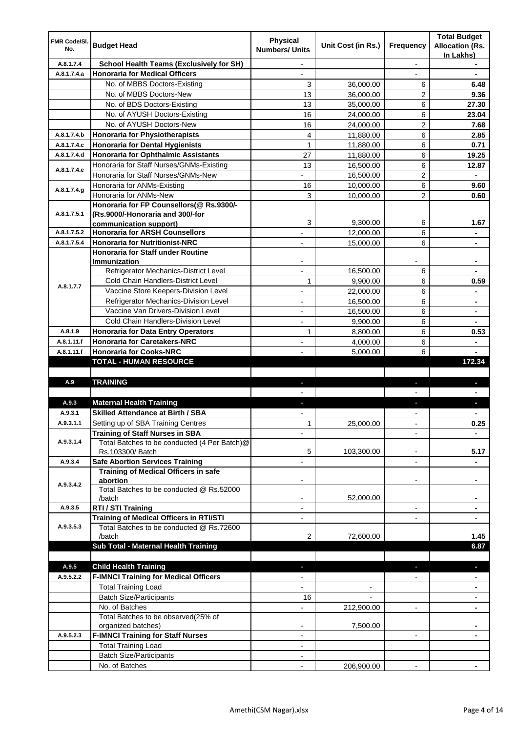| <b>FMR Code/SI.</b><br>No. | <b>Budget Head</b>                                                               | <b>Physical</b><br><b>Numbers/ Units</b> | Unit Cost (in Rs.) | Frequency                | <b>Total Budget</b><br><b>Allocation (Rs.</b><br>In Lakhs) |
|----------------------------|----------------------------------------------------------------------------------|------------------------------------------|--------------------|--------------------------|------------------------------------------------------------|
| A.8.1.7.4                  | School Health Teams (Exclusively for SH)                                         | $\overline{\phantom{0}}$                 |                    | $\overline{\phantom{a}}$ |                                                            |
| A.8.1.7.4.a                | <b>Honoraria for Medical Officers</b>                                            | $\overline{\phantom{a}}$                 |                    |                          | $\blacksquare$                                             |
|                            | No. of MBBS Doctors-Existing                                                     | 3                                        | 36,000.00          | 6                        | 6.48                                                       |
|                            | No. of MBBS Doctors-New                                                          | 13                                       | 36,000.00          | 2                        | 9.36                                                       |
|                            | No. of BDS Doctors-Existing                                                      | 13                                       | 35,000.00          | 6                        | 27.30                                                      |
|                            | No. of AYUSH Doctors-Existing                                                    | 16                                       | 24,000.00          | 6                        | 23.04                                                      |
|                            | No. of AYUSH Doctors-New                                                         | 16                                       | 24,000.00          | 2                        | 7.68                                                       |
| A.8.1.7.4.b                | Honoraria for Physiotherapists                                                   | 4                                        | 11,880.00          | 6                        | 2.85                                                       |
| A.8.1.7.4.c                | <b>Honoraria for Dental Hygienists</b>                                           | $\mathbf{1}$                             | 11,880.00          | 6                        | 0.71                                                       |
| A.8.1.7.4.d                | Honoraria for Ophthalmic Assistants                                              | 27                                       | 11,880.00          | 6                        | 19.25                                                      |
| A.8.1.7.4.e                | Honoraria for Staff Nurses/GNMs-Existing                                         | 13                                       | 16,500.00          | 6                        | 12.87                                                      |
|                            | Honoraria for Staff Nurses/GNMs-New                                              |                                          | 16,500.00          | 2                        |                                                            |
| A.8.1.7.4.g                | Honoraria for ANMs-Existing                                                      | 16                                       | 10,000.00          | 6                        | 9.60                                                       |
|                            | Honoraria for ANMs-New                                                           | 3                                        | 10,000.00          | $\overline{2}$           | 0.60                                                       |
|                            | Honoraria for FP Counsellors(@ Rs.9300/-                                         |                                          |                    |                          |                                                            |
| A.8.1.7.5.1                | (Rs.9000/-Honoraria and 300/-for                                                 |                                          |                    |                          |                                                            |
|                            | communication support)                                                           | 3                                        | 9,300.00           | 6                        | 1.67                                                       |
| A.8.1.7.5.2                | <b>Honoraria for ARSH Counsellors</b>                                            |                                          | 12,000.00          | 6                        |                                                            |
| A.8.1.7.5.4                | <b>Honoraria for Nutritionist-NRC</b>                                            |                                          | 15,000.00          | 6                        |                                                            |
|                            | <b>Honoraria for Staff under Routine</b>                                         |                                          |                    |                          |                                                            |
|                            | <b>Immunization</b><br>Refrigerator Mechanics-District Level                     | $\overline{a}$                           |                    |                          |                                                            |
|                            | <b>Cold Chain Handlers-District Level</b>                                        |                                          | 16,500.00          | 6                        |                                                            |
| A.8.1.7.7                  |                                                                                  | 1                                        | 9,900.00           | 6                        | 0.59                                                       |
|                            | Vaccine Store Keepers-Division Level                                             | -                                        | 22,000.00          | 6<br>6                   |                                                            |
|                            | Refrigerator Mechanics-Division Level<br>Vaccine Van Drivers-Division Level      | $\overline{a}$                           | 16,500.00          |                          | $\blacksquare$                                             |
|                            | <b>Cold Chain Handlers-Division Level</b>                                        | $\overline{a}$                           | 16,500.00          | 6                        | ۰                                                          |
|                            |                                                                                  | $\overline{a}$                           | 9,900.00           | 6                        |                                                            |
| A.8.1.9                    | <b>Honoraria for Data Entry Operators</b><br><b>Honoraria for Caretakers-NRC</b> | 1                                        | 8,800.00           | 6                        | 0.53                                                       |
| A.8.1.11.f                 | <b>Honoraria for Cooks-NRC</b>                                                   |                                          | 4,000.00           | 6                        | $\blacksquare$                                             |
| A.8.1.11.f                 | <b>TOTAL - HUMAN RESOURCE</b>                                                    |                                          | 5,000.00           | 6                        | 172.34                                                     |
|                            |                                                                                  |                                          |                    |                          |                                                            |
| A.9                        | <b>TRAINING</b>                                                                  | a.                                       |                    | ٠                        | J,                                                         |
|                            |                                                                                  |                                          |                    |                          |                                                            |
| A.9.3                      | <b>Maternal Health Training</b>                                                  | ÷.                                       |                    | J,                       | r.                                                         |
| A.9.3.1                    | <b>Skilled Attendance at Birth / SBA</b>                                         | $\overline{\phantom{a}}$                 |                    | $\overline{\phantom{a}}$ | $\blacksquare$                                             |
| A.9.3.1.1                  | Setting up of SBA Training Centres                                               | 1                                        | 25,000.00          | $\blacksquare$           | 0.25                                                       |
|                            | <b>Training of Staff Nurses in SBA</b>                                           |                                          |                    |                          |                                                            |
| A.9.3.1.4                  | Total Batches to be conducted (4 Per Batch)@                                     |                                          |                    |                          |                                                            |
|                            | Rs.103300/ Batch                                                                 | 5                                        | 103,300.00         |                          | 5.17                                                       |
| A.9.3.4                    | <b>Safe Abortion Services Training</b>                                           |                                          |                    |                          |                                                            |
|                            | Training of Medical Officers in safe                                             |                                          |                    |                          |                                                            |
|                            | abortion                                                                         | -                                        |                    | -                        |                                                            |
| A.9.3.4.2                  | Total Batches to be conducted @ Rs.52000                                         |                                          |                    |                          |                                                            |
|                            | /batch                                                                           |                                          | 52,000.00          |                          |                                                            |
| A.9.3.5                    | RTI / STI Training                                                               | $\overline{\phantom{0}}$                 |                    | $\blacksquare$           |                                                            |
|                            | <b>Training of Medical Officers in RTI/STI</b>                                   | $\overline{\phantom{0}}$                 |                    | ٠                        | ۰                                                          |
| A.9.3.5.3                  | Total Batches to be conducted @ Rs.72600                                         |                                          |                    |                          |                                                            |
|                            | /batch                                                                           | 2                                        | 72,600.00          |                          | 1.45                                                       |
|                            | Sub Total - Maternal Health Training                                             |                                          |                    |                          | 6.87                                                       |
|                            |                                                                                  |                                          |                    |                          |                                                            |
| A.9.5                      | <b>Child Health Training</b>                                                     | н                                        |                    |                          | o.                                                         |
| A.9.5.2.2                  | <b>F-IMNCI Training for Medical Officers</b>                                     |                                          |                    |                          |                                                            |
|                            | <b>Total Training Load</b>                                                       |                                          |                    |                          |                                                            |
|                            | <b>Batch Size/Participants</b>                                                   | 16                                       |                    |                          |                                                            |
|                            | No. of Batches                                                                   |                                          | 212,900.00         |                          |                                                            |
|                            | Total Batches to be observed(25% of                                              |                                          |                    |                          |                                                            |
|                            | organized batches)                                                               |                                          | 7,500.00           |                          |                                                            |
| A.9.5.2.3                  | <b>F-IMNCI Training for Staff Nurses</b>                                         |                                          |                    | $\blacksquare$           |                                                            |
|                            | <b>Total Training Load</b>                                                       | $\overline{a}$                           |                    |                          |                                                            |
|                            | <b>Batch Size/Participants</b>                                                   |                                          |                    |                          |                                                            |
|                            | No. of Batches                                                                   |                                          | 206,900.00         |                          |                                                            |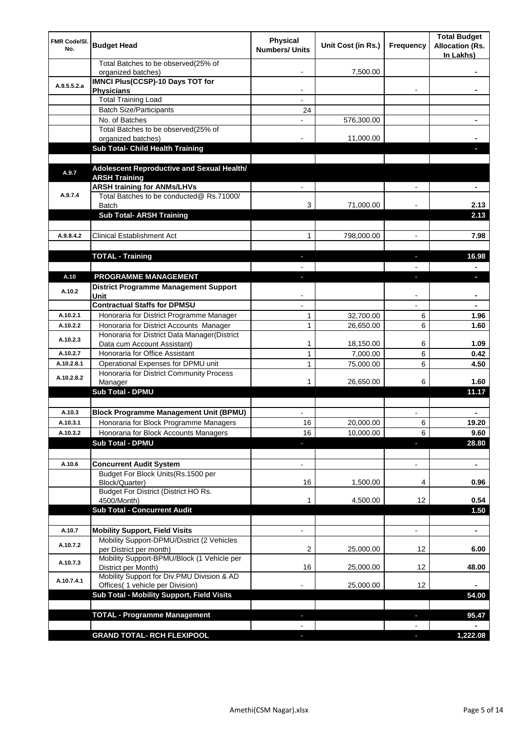| FMR Code/SI.<br>No. | <b>Budget Head</b>                                                             | <b>Physical</b><br><b>Numbers/ Units</b> | Unit Cost (in Rs.) | <b>Frequency</b>         | <b>Total Budget</b><br><b>Allocation (Rs.</b><br>In Lakhs) |
|---------------------|--------------------------------------------------------------------------------|------------------------------------------|--------------------|--------------------------|------------------------------------------------------------|
|                     | Total Batches to be observed(25% of<br>organized batches)                      |                                          | 7,500.00           |                          |                                                            |
| A.9.5.5.2.a         | <b>IMNCI Plus(CCSP)-10 Days TOT for</b><br><b>Physicians</b>                   | $\overline{\phantom{0}}$                 |                    | $\overline{\phantom{0}}$ |                                                            |
|                     | <b>Total Training Load</b>                                                     | $\overline{\phantom{0}}$                 |                    |                          |                                                            |
|                     | <b>Batch Size/Participants</b>                                                 | 24                                       |                    |                          |                                                            |
|                     | No. of Batches                                                                 |                                          | 576,300.00         |                          |                                                            |
|                     | Total Batches to be observed(25% of                                            |                                          |                    |                          |                                                            |
|                     | organized batches)                                                             |                                          | 11,000.00          |                          |                                                            |
|                     | Sub Total- Child Health Training                                               |                                          |                    |                          |                                                            |
| A.9.7               | Adolescent Reproductive and Sexual Health/<br><b>ARSH Training</b>             |                                          |                    |                          |                                                            |
| A.9.7.4             | <b>ARSH training for ANMs/LHVs</b><br>Total Batches to be conducted@ Rs.71000/ |                                          |                    |                          |                                                            |
|                     | <b>Batch</b><br><b>Sub Total- ARSH Training</b>                                | 3                                        | 71,000.00          |                          | 2.13<br>2.13                                               |
|                     |                                                                                |                                          |                    |                          |                                                            |
| A.9.8.4.2           | <b>Clinical Establishment Act</b>                                              | 1                                        | 798,000.00         | $\overline{a}$           | 7.98                                                       |
|                     |                                                                                |                                          |                    |                          |                                                            |
|                     | <b>TOTAL - Training</b>                                                        | ÷.                                       |                    | $\overline{\phantom{a}}$ | 16.98                                                      |
|                     |                                                                                |                                          |                    |                          | $\blacksquare$                                             |
| A.10                | <b>PROGRAMME MANAGEMENT</b>                                                    | ٠                                        |                    | ı                        | ٠                                                          |
| A.10.2              | <b>District Programme Management Support</b><br>Unit                           |                                          |                    |                          |                                                            |
|                     | <b>Contractual Staffs for DPMSU</b>                                            |                                          |                    |                          |                                                            |
| A.10.2.1            | Honoraria for District Programme Manager                                       | 1                                        | 32,700.00          | 6                        | 1.96                                                       |
| A.10.2.2            | Honoraria for District Accounts Manager                                        | 1                                        | 26,650.00          | 6                        | 1.60                                                       |
|                     | Honoraria for District Data Manager(District                                   |                                          |                    |                          |                                                            |
| A.10.2.3            | Data cum Account Assistant)                                                    | 1                                        | 18,150.00          | 6                        | 1.09                                                       |
| A.10.2.7            | Honoraria for Office Assistant                                                 | $\mathbf{1}$                             | 7,000.00           | 6                        | 0.42                                                       |
| A.10.2.8.1          | Operational Expenses for DPMU unit                                             | $\mathbf{1}$                             | 75,000.00          | 6                        | 4.50                                                       |
|                     | Honoraria for District Community Process                                       |                                          |                    |                          |                                                            |
| A.10.2.8.2          | Manager                                                                        | 1                                        | 26,650.00          | 6                        | 1.60                                                       |
|                     | Sub Total - DPMU                                                               |                                          |                    |                          | 11.17                                                      |
|                     |                                                                                |                                          |                    |                          |                                                            |
| A.10.3              | <b>Block Programme Management Unit (BPMU)</b>                                  | $\blacksquare$                           |                    |                          | ٠                                                          |
| A.10.3.1            | Honoraria for Block Programme Managers                                         | 16                                       | 20,000.00          | 6                        | 19.20                                                      |
| A.10.3.2            | Honoraria for Block Accounts Managers                                          | 16                                       | 10,000.00          | 6                        | 9.60                                                       |
|                     | <b>Sub Total - DPMU</b>                                                        | $\blacksquare$                           |                    | L                        | 28.80                                                      |
|                     |                                                                                |                                          |                    |                          |                                                            |
| A.10.6              |                                                                                |                                          |                    |                          |                                                            |
|                     | <b>Concurrent Audit System</b><br>Budget For Block Units(Rs.1500 per           | ۰                                        |                    | $\overline{a}$           | $\blacksquare$                                             |
|                     | Block/Quarter)                                                                 | 16                                       | 1,500.00           | 4                        | 0.96                                                       |
|                     | Budget For District (District HO Rs.<br>4500/Month)                            | 1                                        | 4,500.00           | 12                       | 0.54                                                       |
|                     | <b>Sub Total - Concurrent Audit</b>                                            |                                          |                    |                          | 1.50                                                       |
|                     |                                                                                |                                          |                    |                          |                                                            |
| A.10.7              | <b>Mobility Support, Field Visits</b>                                          |                                          |                    | $\overline{a}$           | ٠                                                          |
| A.10.7.2            | Mobility Support-DPMU/District (2 Vehicles                                     |                                          |                    |                          |                                                            |
|                     | per District per month)                                                        | 2                                        | 25,000.00          | 12                       | 6.00                                                       |
| A.10.7.3            | Mobility Support-BPMU/Block (1 Vehicle per<br>District per Month)              | 16                                       | 25,000.00          | 12                       | 48.00                                                      |
| A.10.7.4.1          | Mobility Support for Div.PMU Division & AD<br>Offices( 1 vehicle per Division) |                                          | 25,000.00          | 12                       |                                                            |
|                     | Sub Total - Mobility Support, Field Visits                                     |                                          |                    |                          | 54.00                                                      |
|                     |                                                                                |                                          |                    |                          |                                                            |
|                     | <b>TOTAL - Programme Management</b>                                            |                                          |                    | ı                        | 95.47                                                      |
|                     |                                                                                |                                          |                    |                          |                                                            |
|                     | <b>GRAND TOTAL- RCH FLEXIPOOL</b>                                              |                                          |                    |                          | 1,222.08                                                   |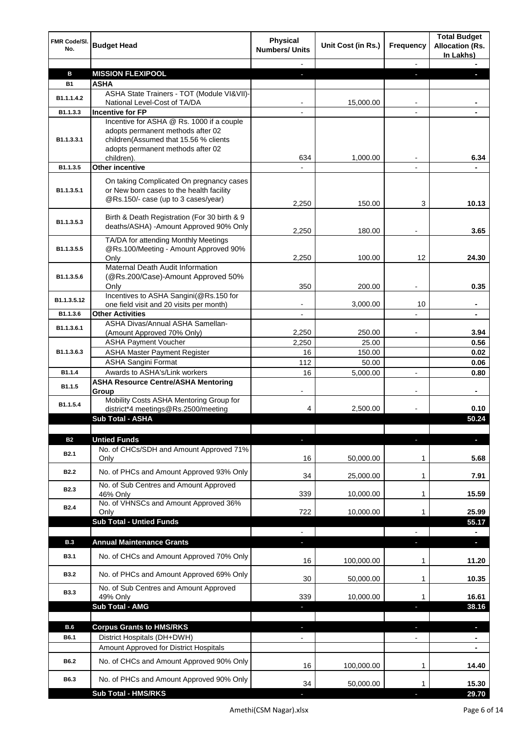| FMR Code/SI.<br>No.           | <b>Budget Head</b>                                                                                                                                                         | <b>Physical</b><br><b>Numbers/ Units</b> | Unit Cost (in Rs.) | <b>Frequency</b>         | <b>Total Budget</b><br><b>Allocation (Rs.</b><br>In Lakhs) |
|-------------------------------|----------------------------------------------------------------------------------------------------------------------------------------------------------------------------|------------------------------------------|--------------------|--------------------------|------------------------------------------------------------|
|                               |                                                                                                                                                                            |                                          |                    |                          |                                                            |
| в                             | <b>MISSION FLEXIPOOL</b>                                                                                                                                                   |                                          |                    |                          |                                                            |
| <b>B1</b>                     | <b>ASHA</b><br>ASHA State Trainers - TOT (Module VI&VII)-                                                                                                                  |                                          |                    |                          |                                                            |
| B1.1.1.4.2                    | National Level-Cost of TA/DA                                                                                                                                               | $\blacksquare$                           | 15,000.00          | $\overline{\phantom{a}}$ | ٠                                                          |
| B1.1.3.3                      | <b>Incentive for FP</b>                                                                                                                                                    |                                          |                    |                          |                                                            |
| B1.1.3.3.1                    | Incentive for ASHA @ Rs. 1000 if a couple<br>adopts permanent methods after 02<br>children(Assumed that 15.56 % clients<br>adopts permanent methods after 02<br>children). | 634                                      | 1,000.00           |                          | 6.34                                                       |
| B1.1.3.5                      | Other incentive                                                                                                                                                            |                                          |                    |                          |                                                            |
| B1.1.3.5.1                    | On taking Complicated On pregnancy cases<br>or New born cases to the health facility<br>@Rs.150/- case (up to 3 cases/year)                                                | 2,250                                    | 150.00             | 3                        | 10.13                                                      |
| B1.1.3.5.3                    | Birth & Death Registration (For 30 birth & 9<br>deaths/ASHA) - Amount Approved 90% Only                                                                                    | 2,250                                    | 180.00             |                          | 3.65                                                       |
| B1.1.3.5.5                    | TA/DA for attending Monthly Meetings<br>@Rs.100/Meeting - Amount Approved 90%                                                                                              |                                          |                    |                          |                                                            |
| B1.1.3.5.6                    | Only<br>Maternal Death Audit Information<br>(@Rs.200/Case)-Amount Approved 50%                                                                                             | 2,250                                    | 100.00             | 12                       | 24.30                                                      |
|                               | Only                                                                                                                                                                       | 350                                      | 200.00             |                          | 0.35                                                       |
| B1.1.3.5.12                   | Incentives to ASHA Sangini(@Rs.150 for<br>one field visit and 20 visits per month)                                                                                         |                                          | 3,000.00           | 10                       | ۰                                                          |
| B1.1.3.6                      | <b>Other Activities</b>                                                                                                                                                    |                                          |                    |                          |                                                            |
|                               | ASHA Divas/Annual ASHA Samellan-                                                                                                                                           |                                          |                    |                          |                                                            |
| B1.1.3.6.1                    | (Amount Approved 70% Only)                                                                                                                                                 | 2,250                                    | 250.00             | $\overline{a}$           | 3.94                                                       |
|                               | <b>ASHA Payment Voucher</b>                                                                                                                                                | 2,250                                    | 25.00              |                          | 0.56                                                       |
| B1.1.3.6.3                    | <b>ASHA Master Payment Register</b><br><b>ASHA Sangini Format</b>                                                                                                          | 16<br>112                                | 150.00<br>50.00    |                          | 0.02<br>0.06                                               |
| B1.1.4                        | Awards to ASHA's/Link workers                                                                                                                                              | 16                                       | 5,000.00           |                          | 0.80                                                       |
| B1.1.5                        | <b>ASHA Resource Centre/ASHA Mentoring</b>                                                                                                                                 |                                          |                    |                          |                                                            |
| B1.1.5.4                      | Group<br>Mobility Costs ASHA Mentoring Group for<br>district*4 meetings@Rs.2500/meeting                                                                                    | 4                                        | 2,500.00           |                          | 0.10                                                       |
|                               | Sub Total - ASHA                                                                                                                                                           |                                          |                    |                          | 50.24                                                      |
|                               |                                                                                                                                                                            |                                          |                    |                          |                                                            |
| <b>B2</b><br>B <sub>2.1</sub> | <b>Untied Funds</b><br>No. of CHCs/SDH and Amount Approved 71%<br>Only                                                                                                     | 16                                       | 50,000.00          | 1                        | 5.68                                                       |
| B <sub>2.2</sub>              | No. of PHCs and Amount Approved 93% Only                                                                                                                                   | 34                                       | 25,000.00          | 1                        | 7.91                                                       |
| <b>B2.3</b>                   | No. of Sub Centres and Amount Approved<br>46% Only                                                                                                                         | 339                                      | 10,000.00          | 1                        | 15.59                                                      |
| B <sub>2.4</sub>              | No. of VHNSCs and Amount Approved 36%                                                                                                                                      |                                          |                    |                          |                                                            |
|                               | Only<br><b>Sub Total - Untied Funds</b>                                                                                                                                    | 722                                      | 10,000.00          | 1                        | 25.99<br>55.17                                             |
|                               |                                                                                                                                                                            |                                          |                    |                          |                                                            |
| <b>B.3</b>                    | <b>Annual Maintenance Grants</b>                                                                                                                                           | a,                                       |                    | $\overline{\phantom{a}}$ | U                                                          |
| B3.1                          | No. of CHCs and Amount Approved 70% Only                                                                                                                                   | 16                                       | 100,000.00         | 1                        | 11.20                                                      |
| <b>B3.2</b>                   | No. of PHCs and Amount Approved 69% Only                                                                                                                                   | 30                                       | 50,000.00          | 1                        | 10.35                                                      |
| <b>B3.3</b>                   | No. of Sub Centres and Amount Approved<br>49% Only                                                                                                                         | 339                                      | 10,000.00          | 1                        | 16.61                                                      |
|                               | Sub Total - AMG                                                                                                                                                            |                                          |                    | ь                        | 38.16                                                      |
|                               |                                                                                                                                                                            |                                          |                    |                          |                                                            |
| B.6<br>B6.1                   | <b>Corpus Grants to HMS/RKS</b><br>District Hospitals (DH+DWH)                                                                                                             |                                          |                    |                          | J,<br>٠                                                    |
|                               | Amount Approved for District Hospitals                                                                                                                                     |                                          |                    |                          |                                                            |
| B6.2                          | No. of CHCs and Amount Approved 90% Only                                                                                                                                   | 16                                       | 100,000.00         | 1                        | 14.40                                                      |
| B6.3                          | No. of PHCs and Amount Approved 90% Only                                                                                                                                   | 34                                       | 50,000.00          |                          | 15.30                                                      |
|                               | <b>Sub Total - HMS/RKS</b>                                                                                                                                                 |                                          |                    |                          | 29.70                                                      |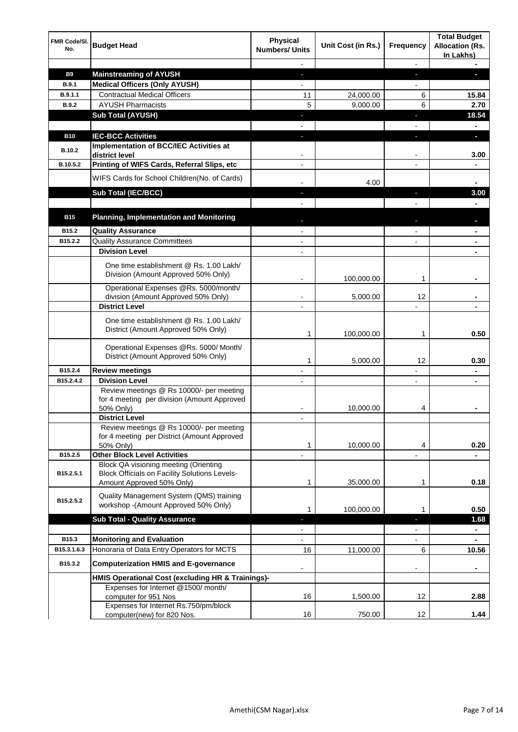| <b>FMR Code/SI.</b><br>No. | <b>Budget Head</b>                                                                                                         | <b>Physical</b><br><b>Numbers/ Units</b> | Unit Cost (in Rs.) | <b>Frequency</b>         | <b>Total Budget</b><br><b>Allocation (Rs.</b><br>In Lakhs) |
|----------------------------|----------------------------------------------------------------------------------------------------------------------------|------------------------------------------|--------------------|--------------------------|------------------------------------------------------------|
|                            |                                                                                                                            |                                          |                    | $\overline{\phantom{a}}$ |                                                            |
| <b>B9</b>                  | <b>Mainstreaming of AYUSH</b>                                                                                              | $\overline{\phantom{a}}$                 |                    | ٠                        | r.                                                         |
| <b>B.9.1</b>               | <b>Medical Officers (Only AYUSH)</b>                                                                                       | $\overline{a}$                           |                    | $\overline{\phantom{a}}$ |                                                            |
| B.9.1.1                    | <b>Contractual Medical Officers</b>                                                                                        | 11                                       | 24,000.00          | 6                        | 15.84                                                      |
| <b>B.9.2</b>               | <b>AYUSH Pharmacists</b>                                                                                                   | 5                                        | 9,000.00           | 6                        | 2.70                                                       |
|                            | <b>Sub Total (AYUSH)</b>                                                                                                   | ٠                                        |                    | J,                       | 18.54                                                      |
|                            |                                                                                                                            |                                          |                    |                          |                                                            |
| <b>B10</b>                 | <b>IEC-BCC Activities</b>                                                                                                  | ٠                                        |                    | L                        | J,                                                         |
| <b>B.10.2</b>              | Implementation of BCC/IEC Activities at<br>district level                                                                  |                                          |                    |                          | 3.00                                                       |
| B.10.5.2                   | Printing of WIFS Cards, Referral Slips, etc                                                                                |                                          |                    |                          |                                                            |
|                            |                                                                                                                            |                                          |                    |                          |                                                            |
|                            | WIFS Cards for School Children(No. of Cards)                                                                               |                                          | 4.00               |                          |                                                            |
|                            | Sub Total (IEC/BCC)                                                                                                        |                                          |                    | п                        | 3.00                                                       |
|                            |                                                                                                                            |                                          |                    |                          |                                                            |
| <b>B15</b>                 | <b>Planning, Implementation and Monitoring</b>                                                                             |                                          |                    |                          |                                                            |
| B <sub>15.2</sub>          | <b>Quality Assurance</b>                                                                                                   | $\blacksquare$                           |                    | $\blacksquare$           | ٠                                                          |
| B15.2.2                    | <b>Quality Assurance Committees</b>                                                                                        | $\blacksquare$                           |                    | $\overline{a}$           | ۰                                                          |
|                            | <b>Division Level</b>                                                                                                      | $\blacksquare$                           |                    |                          | $\blacksquare$                                             |
|                            | One time establishment @ Rs. 1.00 Lakh/<br>Division (Amount Approved 50% Only)                                             |                                          | 100,000.00         | 1                        |                                                            |
|                            | Operational Expenses @Rs. 5000/month/                                                                                      |                                          |                    |                          |                                                            |
|                            | division (Amount Approved 50% Only)                                                                                        |                                          | 5,000.00           | 12                       |                                                            |
|                            | <b>District Level</b>                                                                                                      |                                          |                    |                          |                                                            |
|                            | One time establishment @ Rs. 1.00 Lakh/<br>District (Amount Approved 50% Only)                                             | 1                                        | 100,000.00         | 1                        | 0.50                                                       |
|                            | Operational Expenses @Rs. 5000/ Month/<br>District (Amount Approved 50% Only)                                              | 1                                        | 5,000.00           | 12                       | 0.30                                                       |
| B15.2.4                    | <b>Review meetings</b>                                                                                                     |                                          |                    |                          |                                                            |
| B15.2.4.2                  | <b>Division Level</b>                                                                                                      |                                          |                    |                          |                                                            |
|                            | Review meetings @ Rs 10000/- per meeting<br>for 4 meeting per division (Amount Approved<br>50% Only)                       | $\overline{\phantom{a}}$                 | 10,000.00          | 4                        | $\blacksquare$                                             |
|                            | <b>District Level</b>                                                                                                      |                                          |                    |                          |                                                            |
|                            | Review meetings @ Rs 10000/- per meeting<br>for 4 meeting per District (Amount Approved<br>50% Only)                       | 1                                        | 10,000.00          | 4                        | 0.20                                                       |
| B15.2.5                    | <b>Other Block Level Activities</b>                                                                                        |                                          |                    | $\overline{a}$           |                                                            |
| B15.2.5.1                  | <b>Block QA visioning meeting (Orienting</b><br>Block Officials on Facility Solutions Levels-<br>Amount Approved 50% Only) | 1                                        | 35,000.00          | 1                        | 0.18                                                       |
| B15.2.5.2                  | Quality Management System (QMS) training<br>workshop - (Amount Approved 50% Only)                                          | 1                                        | 100,000.00         | 1                        | 0.50                                                       |
|                            | <b>Sub Total - Quality Assurance</b>                                                                                       |                                          |                    |                          | 1.68                                                       |
|                            |                                                                                                                            |                                          |                    | $\overline{\phantom{0}}$ | $\blacksquare$                                             |
| B15.3                      | <b>Monitoring and Evaluation</b>                                                                                           |                                          |                    |                          | ٠                                                          |
| B15.3.1.6.3                | Honoraria of Data Entry Operators for MCTS                                                                                 | 16                                       | 11,000.00          | 6                        | 10.56                                                      |
| B15.3.2                    | <b>Computerization HMIS and E-governance</b>                                                                               |                                          |                    |                          |                                                            |
|                            | HMIS Operational Cost (excluding HR & Trainings)-                                                                          |                                          |                    |                          |                                                            |
|                            | Expenses for Internet @1500/month/<br>computer for 951 Nos<br>Expenses for Internet Rs.750/pm/block                        | 16                                       | 1,500.00           | 12                       | 2.88                                                       |
|                            | computer(new) for 820 Nos.                                                                                                 | 16                                       | 750.00             | 12                       | 1.44                                                       |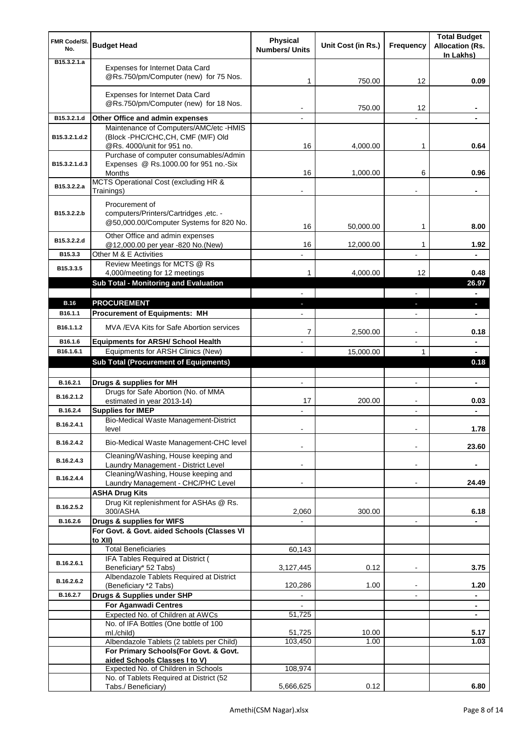| FMR Code/SI.<br>No. | <b>Budget Head</b>                                                                                              | <b>Physical</b><br><b>Numbers/ Units</b> | Unit Cost (in Rs.) | Frequency                | <b>Total Budget</b><br><b>Allocation (Rs.</b><br>In Lakhs) |
|---------------------|-----------------------------------------------------------------------------------------------------------------|------------------------------------------|--------------------|--------------------------|------------------------------------------------------------|
| B15.3.2.1.a         | <b>Expenses for Internet Data Card</b><br>@Rs.750/pm/Computer (new) for 75 Nos.                                 | 1                                        | 750.00             | 12                       | 0.09                                                       |
|                     | Expenses for Internet Data Card<br>@Rs.750/pm/Computer (new) for 18 Nos.                                        |                                          | 750.00             | 12                       |                                                            |
| B15.3.2.1.d         | Other Office and admin expenses                                                                                 |                                          |                    |                          |                                                            |
|                     | Maintenance of Computers/AMC/etc -HMIS                                                                          |                                          |                    |                          |                                                            |
| B15.3.2.1.d.2       | (Block -PHC/CHC,CH, CMF (M/F) Old<br>@Rs. 4000/unit for 951 no.                                                 | 16                                       | 4,000.00           | 1                        | 0.64                                                       |
| B15.3.2.1.d.3       | Purchase of computer consumables/Admin<br>Expenses @ Rs.1000.00 for 951 no.-Six<br><b>Months</b>                | 16                                       | 1,000.00           | 6                        | 0.96                                                       |
| B15.3.2.2.a         | MCTS Operational Cost (excluding HR &<br>Trainings)                                                             |                                          |                    |                          |                                                            |
| B15.3.2.2.b         | Procurement of<br>computers/Printers/Cartridges, etc. -<br>@50,000.00/Computer Systems for 820 No.              | 16                                       | 50,000.00          | 1                        | 8.00                                                       |
| B15.3.2.2.d         | Other Office and admin expenses<br>@12,000.00 per year -820 No.(New)                                            | 16                                       | 12,000.00          | 1                        | 1.92                                                       |
| B15.3.3             | Other M & E Activities                                                                                          |                                          |                    |                          |                                                            |
| B15.3.3.5           | Review Meetings for MCTS @ Rs                                                                                   |                                          |                    |                          |                                                            |
|                     | 4,000/meeting for 12 meetings                                                                                   | 1                                        | 4,000.00           | 12                       | 0.48                                                       |
|                     | <b>Sub Total - Monitoring and Evaluation</b>                                                                    |                                          |                    |                          | 26.97<br>$\blacksquare$                                    |
| <b>B.16</b>         | <b>PROCUREMENT</b>                                                                                              | J,                                       |                    | ٠                        | ٠                                                          |
| B16.1.1             | <b>Procurement of Equipments: MH</b>                                                                            |                                          |                    |                          |                                                            |
| B16.1.1.2           | MVA /EVA Kits for Safe Abortion services                                                                        | 7                                        | 2,500.00           |                          | 0.18                                                       |
| B16.1.6             | <b>Equipments for ARSH/ School Health</b>                                                                       |                                          |                    | $\overline{a}$           | $\blacksquare$                                             |
| B16.1.6.1           | Equipments for ARSH Clinics (New)                                                                               |                                          | 15,000.00          | 1                        |                                                            |
|                     | <b>Sub Total (Procurement of Equipments)</b>                                                                    |                                          |                    |                          | 0.18                                                       |
| B.16.2.1            | Drugs & supplies for MH                                                                                         | $\overline{a}$                           |                    | $\blacksquare$           | $\blacksquare$                                             |
| B.16.2.1.2          | Drugs for Safe Abortion (No. of MMA<br>estimated in year 2013-14)                                               | 17                                       | 200.00             | $\overline{\phantom{0}}$ | 0.03                                                       |
| B.16.2.4            | <b>Supplies for IMEP</b>                                                                                        |                                          |                    |                          |                                                            |
| B.16.2.4.1          |                                                                                                                 |                                          |                    | $\overline{a}$           | $\blacksquare$                                             |
|                     | <b>Bio-Medical Waste Management-District</b><br>level                                                           |                                          |                    | $\overline{a}$           | 1.78                                                       |
| B.16.2.4.2          | Bio-Medical Waste Management-CHC level                                                                          |                                          |                    |                          | 23.60                                                      |
| B.16.2.4.3          | Cleaning/Washing, House keeping and<br>Laundry Management - District Level                                      |                                          |                    | $\overline{a}$           | ۰                                                          |
| B.16.2.4.4          | Cleaning/Washing, House keeping and<br>Laundry Management - CHC/PHC Level                                       |                                          |                    |                          | 24.49                                                      |
|                     | <b>ASHA Drug Kits</b><br>Drug Kit replenishment for ASHAs @ Rs.                                                 |                                          |                    |                          |                                                            |
| B.16.2.5.2          | 300/ASHA                                                                                                        | 2,060                                    | 300.00             |                          | 6.18                                                       |
| B.16.2.6            | Drugs & supplies for WIFS<br>For Govt. & Govt. aided Schools (Classes VI                                        |                                          |                    |                          |                                                            |
|                     | to XII)<br><b>Total Beneficiaries</b>                                                                           | 60,143                                   |                    |                          |                                                            |
| B.16.2.6.1          | IFA Tables Required at District (<br>Beneficiary* 52 Tabs)                                                      | 3,127,445                                | 0.12               | $\overline{\phantom{a}}$ | 3.75                                                       |
| B.16.2.6.2          | Albendazole Tablets Required at District                                                                        | 120,286                                  | 1.00               | $\overline{\phantom{a}}$ | 1.20                                                       |
| B.16.2.7            | (Beneficiary *2 Tabs)<br>Drugs & Supplies under SHP                                                             |                                          |                    |                          |                                                            |
|                     | For Aganwadi Centres                                                                                            |                                          |                    |                          | $\blacksquare$                                             |
|                     | Expected No. of Children at AWCs                                                                                | 51,725                                   |                    |                          |                                                            |
|                     | No. of IFA Bottles (One bottle of 100<br>ml./child)                                                             | 51,725                                   | 10.00              |                          | 5.17                                                       |
|                     | Albendazole Tablets (2 tablets per Child)                                                                       | 103,450                                  | 1.00               |                          | 1.03                                                       |
|                     | For Primary Schools(For Govt. & Govt.                                                                           |                                          |                    |                          |                                                            |
|                     | aided Schools Classes I to V)<br>Expected No. of Children in Schools<br>No. of Tablets Required at District (52 | 108,974                                  |                    |                          |                                                            |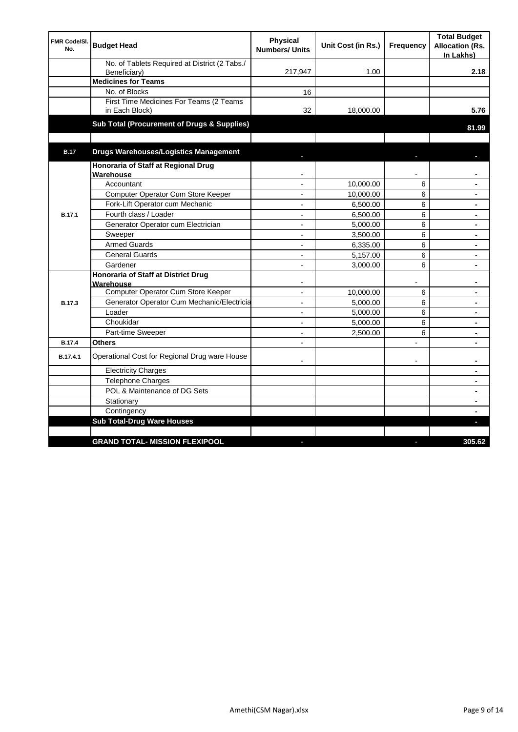| FMR Code/SI.<br>No. | <b>Budget Head</b>                                        | <b>Physical</b><br><b>Numbers/ Units</b> | Unit Cost (in Rs.) | Frequency      | <b>Total Budget</b><br><b>Allocation (Rs.</b><br>In Lakhs) |
|---------------------|-----------------------------------------------------------|------------------------------------------|--------------------|----------------|------------------------------------------------------------|
|                     | No. of Tablets Required at District (2 Tabs./             |                                          |                    |                |                                                            |
|                     | Beneficiary)                                              | 217,947                                  | 1.00               |                | 2.18                                                       |
|                     | <b>Medicines for Teams</b>                                |                                          |                    |                |                                                            |
|                     | No. of Blocks                                             | 16                                       |                    |                |                                                            |
|                     | First Time Medicines For Teams (2 Teams<br>in Each Block) | 32                                       | 18,000.00          |                | 5.76                                                       |
|                     | Sub Total (Procurement of Drugs & Supplies)               |                                          |                    |                | 81.99                                                      |
| <b>B.17</b>         | <b>Drugs Warehouses/Logistics Management</b>              |                                          |                    |                |                                                            |
|                     | Honoraria of Staff at Regional Drug<br>Warehouse          |                                          |                    |                |                                                            |
|                     | Accountant                                                | $\overline{a}$                           | 10,000.00          | 6              |                                                            |
|                     | Computer Operator Cum Store Keeper                        | $\overline{\phantom{a}}$                 | 10,000.00          | 6              | $\blacksquare$                                             |
|                     | Fork-Lift Operator cum Mechanic                           | ۰                                        | 6,500.00           | 6              |                                                            |
| <b>B.17.1</b>       | Fourth class / Loader                                     | $\overline{a}$                           | 6,500.00           | 6              |                                                            |
|                     | Generator Operator cum Electrician                        | $\overline{a}$                           | 5,000.00           | 6              | ÷                                                          |
|                     | Sweeper                                                   | $\overline{a}$                           | 3,500.00           | 6              |                                                            |
|                     | <b>Armed Guards</b>                                       | $\blacksquare$                           | 6,335.00           | 6              | $\blacksquare$                                             |
|                     | <b>General Guards</b>                                     | $\overline{\phantom{a}}$                 | 5,157.00           | 6              |                                                            |
|                     | Gardener                                                  |                                          | 3,000.00           | 6              |                                                            |
|                     | Honoraria of Staff at District Drug<br>Warehouse          |                                          |                    |                |                                                            |
|                     | Computer Operator Cum Store Keeper                        | $\overline{a}$                           | 10,000.00          | 6              | $\blacksquare$                                             |
| <b>B.17.3</b>       | Generator Operator Cum Mechanic/Electricia                | $\overline{a}$                           | 5,000.00           | 6              |                                                            |
|                     | Loader                                                    | $\overline{a}$                           | 5,000.00           | 6              |                                                            |
|                     | Choukidar                                                 | $\blacksquare$                           | 5,000.00           | 6              | ÷                                                          |
|                     | Part-time Sweeper                                         | $\overline{a}$                           | 2,500.00           | 6              |                                                            |
| <b>B.17.4</b>       | <b>Others</b>                                             | $\overline{a}$                           |                    | $\overline{a}$ |                                                            |
| B.17.4.1            | Operational Cost for Regional Drug ware House             |                                          |                    |                |                                                            |
|                     | <b>Electricity Charges</b>                                |                                          |                    |                |                                                            |
|                     | Telephone Charges                                         |                                          |                    |                |                                                            |
|                     | POL & Maintenance of DG Sets                              |                                          |                    |                |                                                            |
|                     | Stationary                                                |                                          |                    |                | $\blacksquare$                                             |
|                     | Contingency                                               |                                          |                    |                |                                                            |
|                     | <b>Sub Total-Drug Ware Houses</b>                         |                                          |                    |                |                                                            |
|                     |                                                           |                                          |                    |                |                                                            |
|                     | <b>GRAND TOTAL- MISSION FLEXIPOOL</b>                     |                                          |                    |                | 305.62                                                     |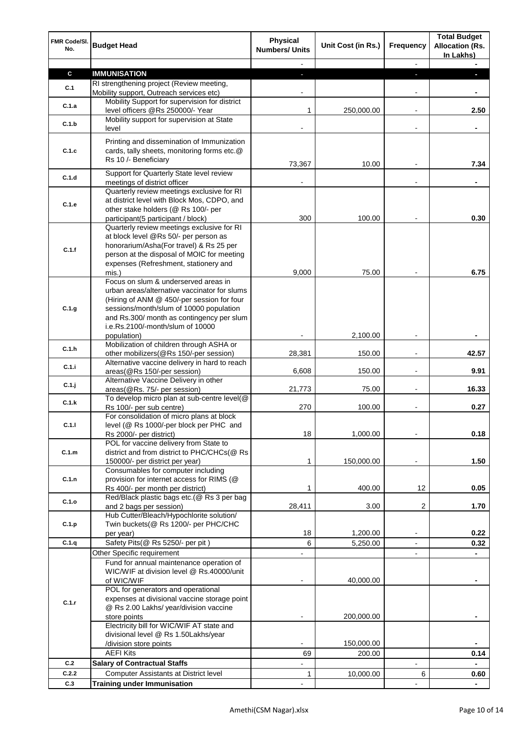| FMR Code/SI.<br>No. | <b>Budget Head</b>                                                                    | Physical<br><b>Numbers/ Units</b> | Unit Cost (in Rs.) | <b>Frequency</b>         | <b>Total Budget</b><br><b>Allocation (Rs.</b><br>In Lakhs) |
|---------------------|---------------------------------------------------------------------------------------|-----------------------------------|--------------------|--------------------------|------------------------------------------------------------|
|                     |                                                                                       |                                   |                    |                          |                                                            |
| C                   | <b>IMMUNISATION</b>                                                                   |                                   |                    |                          |                                                            |
| C.1                 | RI strengthening project (Review meeting,<br>Mobility support, Outreach services etc) |                                   |                    |                          |                                                            |
|                     | Mobility Support for supervision for district                                         |                                   |                    |                          |                                                            |
| C.1.a               | level officers @Rs 250000/- Year                                                      | 1                                 | 250,000.00         | $\overline{a}$           | 2.50                                                       |
| C.1.b               | Mobility support for supervision at State                                             |                                   |                    |                          |                                                            |
|                     | level                                                                                 |                                   |                    | $\blacksquare$           | ۰                                                          |
|                     | Printing and dissemination of Immunization                                            |                                   |                    |                          |                                                            |
| C.1.c               | cards, tally sheets, monitoring forms etc.@                                           |                                   |                    |                          |                                                            |
|                     | Rs 10 /- Beneficiary                                                                  | 73,367                            | 10.00              | $\overline{\phantom{a}}$ | 7.34                                                       |
| C.1.d               | Support for Quarterly State level review                                              |                                   |                    |                          |                                                            |
|                     | meetings of district officer                                                          |                                   |                    |                          |                                                            |
|                     | Quarterly review meetings exclusive for RI                                            |                                   |                    |                          |                                                            |
| C.1.e               | at district level with Block Mos, CDPO, and<br>other stake holders (@ Rs 100/- per    |                                   |                    |                          |                                                            |
|                     | participant(5 participant / block)                                                    | 300                               | 100.00             |                          | 0.30                                                       |
|                     | Quarterly review meetings exclusive for RI                                            |                                   |                    |                          |                                                            |
|                     | at block level @Rs 50/- per person as                                                 |                                   |                    |                          |                                                            |
| C.1.f               | honorarium/Asha(For travel) & Rs 25 per                                               |                                   |                    |                          |                                                            |
|                     | person at the disposal of MOIC for meeting                                            |                                   |                    |                          |                                                            |
|                     | expenses (Refreshment, stationery and                                                 | 9,000                             | 75.00              |                          | 6.75                                                       |
|                     | mis.<br>Focus on slum & underserved areas in                                          |                                   |                    |                          |                                                            |
|                     | urban areas/alternative vaccinator for slums                                          |                                   |                    |                          |                                                            |
|                     | (Hiring of ANM @ 450/-per session for four                                            |                                   |                    |                          |                                                            |
| C.1.g               | sessions/month/slum of 10000 population                                               |                                   |                    |                          |                                                            |
|                     | and Rs.300/ month as contingency per slum                                             |                                   |                    |                          |                                                            |
|                     | i.e.Rs.2100/-month/slum of 10000                                                      |                                   |                    |                          |                                                            |
|                     | population)<br>Mobilization of children through ASHA or                               |                                   | 2,100.00           |                          |                                                            |
| C.1.h               | other mobilizers (@Rs 150/-per session)                                               | 28,381                            | 150.00             | $\overline{a}$           | 42.57                                                      |
| C.1.i               | Alternative vaccine delivery in hard to reach                                         |                                   |                    |                          |                                                            |
|                     | areas(@Rs 150/-per session)                                                           | 6,608                             | 150.00             |                          | 9.91                                                       |
| C.1.j               | Alternative Vaccine Delivery in other                                                 |                                   |                    |                          |                                                            |
|                     | areas(@Rs. 75/- per session)<br>To develop micro plan at sub-centre level(@           | 21,773                            | 75.00              | $\overline{\phantom{a}}$ | 16.33                                                      |
| C.1.k               | Rs 100/- per sub centre)                                                              | 270                               | 100.00             |                          | 0.27                                                       |
|                     | For consolidation of micro plans at block                                             |                                   |                    |                          |                                                            |
| C.1.1               | level (@ Rs 1000/-per block per PHC and                                               |                                   |                    |                          |                                                            |
|                     | Rs 2000/- per district)                                                               | 18                                | 1,000.00           |                          | 0.18                                                       |
|                     | POL for vaccine delivery from State to                                                |                                   |                    |                          |                                                            |
| C.1.m               | district and from district to PHC/CHCs(@ Rs<br>150000/- per district per year)        | 1                                 | 150,000.00         | $\overline{a}$           | 1.50                                                       |
|                     | Consumables for computer including                                                    |                                   |                    |                          |                                                            |
| C.1.n               | provision for internet access for RIMS (@                                             |                                   |                    |                          |                                                            |
|                     | Rs 400/- per month per district)                                                      | 1                                 | 400.00             | 12                       | 0.05                                                       |
| C.1.o               | Red/Black plastic bags etc.(@ Rs 3 per bag                                            |                                   |                    |                          |                                                            |
|                     | and 2 bags per session)                                                               | 28,411                            | 3.00               | 2                        | 1.70                                                       |
| C.1.p               | Hub Cutter/Bleach/Hypochlorite solution/<br>Twin buckets(@ Rs 1200/- per PHC/CHC      |                                   |                    |                          |                                                            |
|                     | per year)                                                                             | 18                                | 1,200.00           |                          | 0.22                                                       |
| C.1.q               | Safety Pits(@ Rs 5250/- per pit)                                                      | 6                                 | 5,250.00           |                          | 0.32                                                       |
|                     | Other Specific requirement                                                            |                                   |                    | $\overline{a}$           |                                                            |
|                     | Fund for annual maintenance operation of                                              |                                   |                    |                          |                                                            |
|                     | WIC/WIF at division level @ Rs.40000/unit                                             |                                   |                    |                          |                                                            |
|                     | of WIC/WIF                                                                            |                                   | 40,000.00          |                          |                                                            |
|                     | POL for generators and operational<br>expenses at divisional vaccine storage point    |                                   |                    |                          |                                                            |
| C.1.r               | @ Rs 2.00 Lakhs/ year/division vaccine                                                |                                   |                    |                          |                                                            |
|                     | store points                                                                          |                                   | 200,000.00         |                          |                                                            |
|                     | Electricity bill for WIC/WIF AT state and                                             |                                   |                    |                          |                                                            |
|                     | divisional level @ Rs 1.50Lakhs/year                                                  |                                   |                    |                          |                                                            |
|                     | /division store points                                                                |                                   | 150,000.00         |                          |                                                            |
|                     | <b>AEFI Kits</b>                                                                      | 69                                | 200.00             |                          | 0.14                                                       |
| C.2                 | <b>Salary of Contractual Staffs</b>                                                   |                                   |                    | $\overline{a}$           | $\blacksquare$                                             |
| C.2.2<br>C.3        | <b>Computer Assistants at District level</b><br><b>Training under Immunisation</b>    | 1                                 | 10,000.00          | 6                        | 0.60                                                       |
|                     |                                                                                       |                                   |                    |                          |                                                            |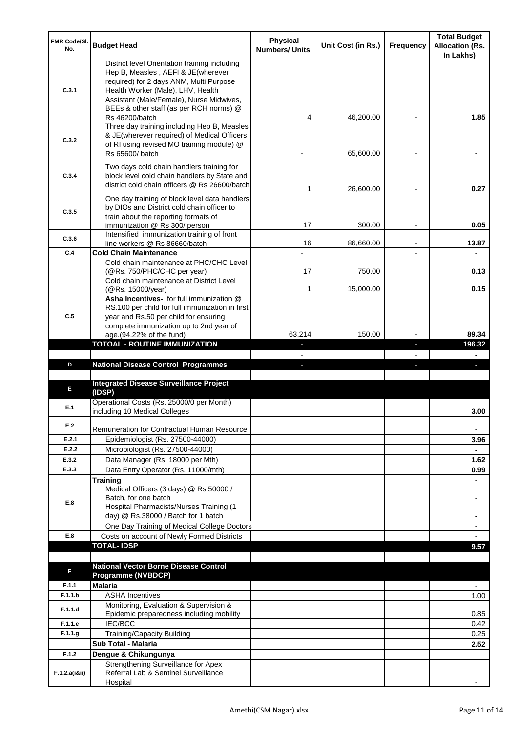| FMR Code/SI.   |                                                                                           | <b>Physical</b>       |                    |                  | <b>Total Budget</b>                 |
|----------------|-------------------------------------------------------------------------------------------|-----------------------|--------------------|------------------|-------------------------------------|
| No.            | <b>Budget Head</b>                                                                        | <b>Numbers/ Units</b> | Unit Cost (in Rs.) | <b>Frequency</b> | <b>Allocation (Rs.</b><br>In Lakhs) |
|                | District level Orientation training including                                             |                       |                    |                  |                                     |
|                | Hep B, Measles, AEFI & JE(wherever                                                        |                       |                    |                  |                                     |
| C.3.1          | required) for 2 days ANM, Multi Purpose<br>Health Worker (Male), LHV, Health              |                       |                    |                  |                                     |
|                | Assistant (Male/Female), Nurse Midwives,                                                  |                       |                    |                  |                                     |
|                | BEEs & other staff (as per RCH norms) @                                                   |                       |                    |                  |                                     |
|                | <b>Rs 46200/batch</b>                                                                     | 4                     | 46,200.00          |                  | 1.85                                |
|                | Three day training including Hep B, Measles                                               |                       |                    |                  |                                     |
| C.3.2          | & JE(wherever required) of Medical Officers<br>of RI using revised MO training module) @  |                       |                    |                  |                                     |
|                | Rs 65600/ batch                                                                           |                       | 65,600.00          |                  |                                     |
|                | Two days cold chain handlers training for                                                 |                       |                    |                  |                                     |
| C.3.4          | block level cold chain handlers by State and                                              |                       |                    |                  |                                     |
|                | district cold chain officers @ Rs 26600/batch                                             | 1                     | 26,600.00          |                  | 0.27                                |
|                | One day training of block level data handlers                                             |                       |                    |                  |                                     |
| C.3.5          | by DIOs and District cold chain officer to                                                |                       |                    |                  |                                     |
|                | train about the reporting formats of                                                      |                       |                    |                  |                                     |
|                | immunization @ Rs 300/ person                                                             | 17                    | 300.00             |                  | 0.05                                |
| C.3.6          | Intensified immunization training of front<br>line workers @ Rs 86660/batch               | 16                    | 86,660.00          |                  | 13.87                               |
| C.4            | <b>Cold Chain Maintenance</b>                                                             |                       |                    |                  |                                     |
|                | Cold chain maintenance at PHC/CHC Level                                                   |                       |                    |                  |                                     |
|                | (@Rs. 750/PHC/CHC per year)                                                               | 17                    | 750.00             |                  | 0.13                                |
|                | Cold chain maintenance at District Level                                                  | 1                     | 15,000.00          |                  | 0.15                                |
|                | (@Rs. 15000/year)<br>Asha Incentives- for full immunization @                             |                       |                    |                  |                                     |
|                | RS.100 per child for full immunization in first                                           |                       |                    |                  |                                     |
| C.5            | year and Rs.50 per child for ensuring                                                     |                       |                    |                  |                                     |
|                | complete immunization up to 2nd year of                                                   |                       |                    |                  | 89.34                               |
|                | age.(94.22% of the fund)<br><b>TOTOAL - ROUTINE IMMUNIZATION</b>                          | 63,214                | 150.00             |                  | 196.32                              |
|                |                                                                                           |                       |                    |                  |                                     |
|                |                                                                                           |                       |                    |                  |                                     |
| D              | <b>National Disease Control Programmes</b>                                                |                       |                    |                  |                                     |
|                |                                                                                           |                       |                    |                  |                                     |
| E              | <b>Integrated Disease Surveillance Project</b>                                            |                       |                    |                  |                                     |
|                | (IDSP)<br>Operational Costs (Rs. 25000/0 per Month)                                       |                       |                    |                  |                                     |
| E.1            | including 10 Medical Colleges                                                             |                       |                    |                  | 3.00                                |
| E.2            |                                                                                           |                       |                    |                  |                                     |
|                | Remuneration for Contractual Human Resource                                               |                       |                    |                  | ٠                                   |
| E.2.1          | Epidemiologist (Rs. 27500-44000)                                                          |                       |                    |                  | 3.96                                |
| E.2.2<br>E.3.2 | Microbiologist (Rs. 27500-44000)                                                          |                       |                    |                  |                                     |
| E.3.3          | Data Manager (Rs. 18000 per Mth)                                                          |                       |                    |                  | 1.62<br>0.99                        |
|                | Data Entry Operator (Rs. 11000/mth)<br><b>Training</b>                                    |                       |                    |                  |                                     |
|                | Medical Officers (3 days) @ Rs 50000 /                                                    |                       |                    |                  |                                     |
| E.8            | Batch, for one batch                                                                      |                       |                    |                  | ۰                                   |
|                | Hospital Pharmacists/Nurses Training (1                                                   |                       |                    |                  |                                     |
|                | day) @ Rs.38000 / Batch for 1 batch                                                       |                       |                    |                  |                                     |
| E.8            | One Day Training of Medical College Doctors<br>Costs on account of Newly Formed Districts |                       |                    |                  |                                     |
|                | <b>TOTAL-IDSP</b>                                                                         |                       |                    |                  | 9.57                                |
|                |                                                                                           |                       |                    |                  |                                     |
| F              | <b>National Vector Borne Disease Control</b>                                              |                       |                    |                  |                                     |
|                | <b>Programme (NVBDCP)</b>                                                                 |                       |                    |                  |                                     |
| F.1.1          | <b>Malaria</b>                                                                            |                       |                    |                  | $\overline{\phantom{a}}$            |
| F.1.1.b        | <b>ASHA Incentives</b>                                                                    |                       |                    |                  | 1.00                                |
| F.1.1.d        | Monitoring, Evaluation & Supervision &<br>Epidemic preparedness including mobility        |                       |                    |                  | 0.85                                |
| F.1.1.e        | <b>IEC/BCC</b>                                                                            |                       |                    |                  | 0.42                                |
| F.1.1.g        | Training/Capacity Building                                                                |                       |                    |                  | 0.25                                |
|                | Sub Total - Malaria                                                                       |                       |                    |                  | 2.52                                |
| F.1.2          | Dengue & Chikungunya                                                                      |                       |                    |                  |                                     |
| F.1.2.a(iⅈ)    | Strengthening Surveillance for Apex<br>Referral Lab & Sentinel Surveillance               |                       |                    |                  |                                     |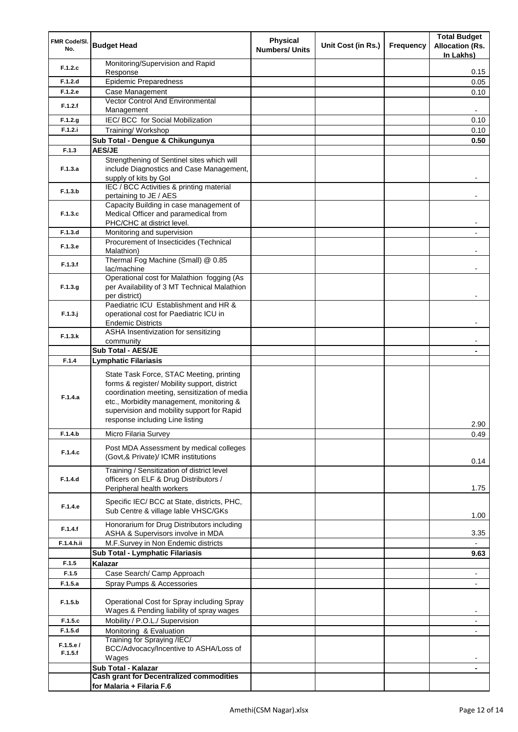| FMR Code/SI.<br>No. | <b>Budget Head</b>                                                                                                                                                                                                                                                    | <b>Physical</b><br><b>Numbers/ Units</b> | Unit Cost (in Rs.) | <b>Frequency</b> | <b>Total Budget</b><br><b>Allocation (Rs.</b><br>In Lakhs) |
|---------------------|-----------------------------------------------------------------------------------------------------------------------------------------------------------------------------------------------------------------------------------------------------------------------|------------------------------------------|--------------------|------------------|------------------------------------------------------------|
| F.1.2.c             | Monitoring/Supervision and Rapid                                                                                                                                                                                                                                      |                                          |                    |                  |                                                            |
|                     | Response                                                                                                                                                                                                                                                              |                                          |                    |                  | 0.15                                                       |
| F.1.2.d<br>F.1.2.e  | <b>Epidemic Preparedness</b><br>Case Management                                                                                                                                                                                                                       |                                          |                    |                  | 0.05<br>0.10                                               |
|                     | Vector Control And Environmental                                                                                                                                                                                                                                      |                                          |                    |                  |                                                            |
| F.1.2.f             | Management                                                                                                                                                                                                                                                            |                                          |                    |                  |                                                            |
| F.1.2.g             | IEC/BCC for Social Mobilization                                                                                                                                                                                                                                       |                                          |                    |                  | 0.10                                                       |
| F.1.2.i             | Training/ Workshop                                                                                                                                                                                                                                                    |                                          |                    |                  | 0.10                                                       |
|                     | Sub Total - Dengue & Chikungunya                                                                                                                                                                                                                                      |                                          |                    |                  | 0.50                                                       |
| F.1.3               | <b>AES/JE</b>                                                                                                                                                                                                                                                         |                                          |                    |                  |                                                            |
| F.1.3.a             | Strengthening of Sentinel sites which will<br>include Diagnostics and Case Management,<br>supply of kits by Gol                                                                                                                                                       |                                          |                    |                  |                                                            |
| F.1.3.b             | IEC / BCC Activities & printing material<br>pertaining to JE / AES                                                                                                                                                                                                    |                                          |                    |                  |                                                            |
| F.1.3.c             | Capacity Building in case management of<br>Medical Officer and paramedical from<br>PHC/CHC at district level.                                                                                                                                                         |                                          |                    |                  |                                                            |
| F.1.3.d             | Monitoring and supervision                                                                                                                                                                                                                                            |                                          |                    |                  |                                                            |
| F.1.3.e             | Procurement of Insecticides (Technical<br>Malathion)                                                                                                                                                                                                                  |                                          |                    |                  |                                                            |
| F.1.3.f             | Thermal Fog Machine (Small) @ 0.85<br>lac/machine                                                                                                                                                                                                                     |                                          |                    |                  |                                                            |
| F.1.3.g             | Operational cost for Malathion fogging (As<br>per Availability of 3 MT Technical Malathion<br>per district)                                                                                                                                                           |                                          |                    |                  |                                                            |
| $F.1.3.$ j          | Paediatric ICU Establishment and HR &<br>operational cost for Paediatric ICU in<br><b>Endemic Districts</b>                                                                                                                                                           |                                          |                    |                  |                                                            |
| F.1.3.k             | ASHA Insentivization for sensitizing<br>community                                                                                                                                                                                                                     |                                          |                    |                  |                                                            |
|                     | <b>Sub Total - AES/JE</b>                                                                                                                                                                                                                                             |                                          |                    |                  |                                                            |
| F.1.4               | <b>Lymphatic Filariasis</b>                                                                                                                                                                                                                                           |                                          |                    |                  |                                                            |
| F.1.4.a             | State Task Force, STAC Meeting, printing<br>forms & register/ Mobility support, district<br>coordination meeting, sensitization of media<br>etc., Morbidity management, monitoring &<br>supervision and mobility support for Rapid<br>response including Line listing |                                          |                    |                  | 2.90                                                       |
| F.1.4.b             | Micro Filaria Survey                                                                                                                                                                                                                                                  |                                          |                    |                  | 0.49                                                       |
| F.1.4.c             | Post MDA Assessment by medical colleges<br>(Govt,& Private)/ ICMR institutions                                                                                                                                                                                        |                                          |                    |                  | 0.14                                                       |
| F.1.4.d             | Training / Sensitization of district level<br>officers on ELF & Drug Distributors /<br>Peripheral health workers                                                                                                                                                      |                                          |                    |                  | 1.75                                                       |
| F.1.4.e             | Specific IEC/ BCC at State, districts, PHC,<br>Sub Centre & village lable VHSC/GKs                                                                                                                                                                                    |                                          |                    |                  | 1.00                                                       |
| F.1.4.f             | Honorarium for Drug Distributors including<br>ASHA & Supervisors involve in MDA                                                                                                                                                                                       |                                          |                    |                  | 3.35                                                       |
| F.1.4.h.ii          | M.F.Survey in Non Endemic districts                                                                                                                                                                                                                                   |                                          |                    |                  |                                                            |
|                     | Sub Total - Lymphatic Filariasis                                                                                                                                                                                                                                      |                                          |                    |                  | 9.63                                                       |
| F.1.5               | Kalazar                                                                                                                                                                                                                                                               |                                          |                    |                  |                                                            |
| F.1.5<br>F.1.5.a    | Case Search/ Camp Approach                                                                                                                                                                                                                                            |                                          |                    |                  | -                                                          |
|                     | Spray Pumps & Accessories                                                                                                                                                                                                                                             |                                          |                    |                  |                                                            |
| F.1.5.b             | Operational Cost for Spray including Spray<br>Wages & Pending liability of spray wages                                                                                                                                                                                |                                          |                    |                  |                                                            |
| F.1.5.c             | Mobility / P.O.L./ Supervision                                                                                                                                                                                                                                        |                                          |                    |                  |                                                            |
| F.1.5.d             | Monitoring & Evaluation<br>Training for Spraying /IEC/                                                                                                                                                                                                                |                                          |                    |                  |                                                            |
| F.1.5.e/<br>F.1.5.f | BCC/Advocacy/Incentive to ASHA/Loss of<br>Wages                                                                                                                                                                                                                       |                                          |                    |                  |                                                            |
|                     | Sub Total - Kalazar<br><b>Cash grant for Decentralized commodities</b>                                                                                                                                                                                                |                                          |                    |                  |                                                            |
|                     | for Malaria + Filaria F.6                                                                                                                                                                                                                                             |                                          |                    |                  |                                                            |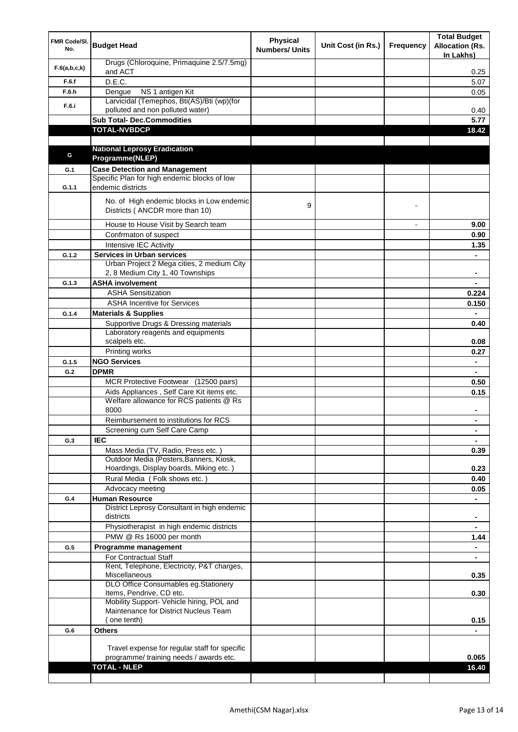| FMR Code/SI.<br>No. | <b>Budget Head</b>                                                             | <b>Physical</b><br><b>Numbers/ Units</b> | Unit Cost (in Rs.) | <b>Frequency</b> | <b>Total Budget</b><br><b>Allocation (Rs.</b><br>In Lakhs) |
|---------------------|--------------------------------------------------------------------------------|------------------------------------------|--------------------|------------------|------------------------------------------------------------|
| F.6(a,b,c,k)        | Drugs (Chloroquine, Primaquine 2.5/7.5mg)<br>and ACT                           |                                          |                    |                  | 0.25                                                       |
| F.6.f               | D.E.C.                                                                         |                                          |                    |                  | 5.07                                                       |
| F.6.h               | NS 1 antigen Kit<br>Dengue                                                     |                                          |                    |                  | 0.05                                                       |
| F.6.i               | Larvicidal (Temephos, Bti(AS)/Bti (wp)(for                                     |                                          |                    |                  |                                                            |
|                     | polluted and non polluted water)                                               |                                          |                    |                  | 0.40                                                       |
|                     | <b>Sub Total- Dec.Commodities</b>                                              |                                          |                    |                  | 5.77                                                       |
|                     | <b>TOTAL-NVBDCP</b>                                                            |                                          |                    |                  | 18.42                                                      |
|                     |                                                                                |                                          |                    |                  |                                                            |
| G                   | <b>National Leprosy Eradication</b><br>Programme(NLEP)                         |                                          |                    |                  |                                                            |
|                     | <b>Case Detection and Management</b>                                           |                                          |                    |                  |                                                            |
| G.1                 | Specific Plan for high endemic blocks of low                                   |                                          |                    |                  |                                                            |
| G.1.1               | endemic districts                                                              |                                          |                    |                  |                                                            |
|                     | No. of High endemic blocks in Low endemic<br>Districts (ANCDR more than 10)    | 9                                        |                    |                  |                                                            |
|                     | House to House Visit by Search team                                            |                                          |                    | $\overline{a}$   | 9.00                                                       |
|                     | Confrmaton of suspect                                                          |                                          |                    |                  | 0.90                                                       |
|                     | Intensive IEC Activity                                                         |                                          |                    |                  | 1.35                                                       |
| G.1.2               | <b>Services in Urban services</b>                                              |                                          |                    |                  |                                                            |
|                     | Urban Project 2 Mega cities, 2 medium City<br>2, 8 Medium City 1, 40 Townships |                                          |                    |                  | ٠                                                          |
| G.1.3               | <b>ASHA involvement</b>                                                        |                                          |                    |                  |                                                            |
|                     | <b>ASHA Sensitization</b>                                                      |                                          |                    |                  | 0.224                                                      |
|                     | <b>ASHA Incentive for Services</b>                                             |                                          |                    |                  | 0.150                                                      |
| G.1.4               | <b>Materials &amp; Supplies</b>                                                |                                          |                    |                  |                                                            |
|                     | Supportive Drugs & Dressing materials<br>Laboratory reagents and equipments    |                                          |                    |                  | 0.40                                                       |
|                     | scalpels etc.<br>Printing works                                                |                                          |                    |                  | 0.08<br>0.27                                               |
| G.1.5               | <b>NGO Services</b>                                                            |                                          |                    |                  |                                                            |
| G.2                 | <b>DPMR</b>                                                                    |                                          |                    |                  |                                                            |
|                     | MCR Protective Footwear (12500 pairs)                                          |                                          |                    |                  | 0.50                                                       |
|                     | Aids Appliances, Self Care Kit items etc.                                      |                                          |                    |                  | 0.15                                                       |
|                     | Welfare allowance for RCS patients @ Rs<br>8000                                |                                          |                    |                  | ۰                                                          |
|                     | Reimbursement to institutions for RCS                                          |                                          |                    |                  |                                                            |
|                     | Screening cum Self Care Camp                                                   |                                          |                    |                  | ۰                                                          |
| G.3                 | <b>IEC</b>                                                                     |                                          |                    |                  | $\blacksquare$                                             |
|                     | Mass Media (TV, Radio, Press etc.)                                             |                                          |                    |                  | 0.39                                                       |
|                     | Outdoor Media (Posters, Banners, Kiosk,                                        |                                          |                    |                  |                                                            |
|                     | Hoardings, Display boards, Miking etc.)                                        |                                          |                    |                  | 0.23                                                       |
|                     | Rural Media (Folk shows etc.)                                                  |                                          |                    |                  | 0.40                                                       |
|                     | Advocacy meeting                                                               |                                          |                    |                  | 0.05                                                       |
| G.4                 | <b>Human Resource</b>                                                          |                                          |                    |                  | $\blacksquare$                                             |
|                     | District Leprosy Consultant in high endemic<br>districts                       |                                          |                    |                  |                                                            |
|                     | Physiotherapist in high endemic districts                                      |                                          |                    |                  |                                                            |
|                     | PMW @ Rs 16000 per month                                                       |                                          |                    |                  | 1.44                                                       |
| G.5                 | Programme management                                                           |                                          |                    |                  |                                                            |
|                     | For Contractual Staff                                                          |                                          |                    |                  |                                                            |
|                     | Rent, Telephone, Electricity, P&T charges,<br>Miscellaneous                    |                                          |                    |                  | 0.35                                                       |
|                     | DLO Office Consumables eg.Stationery                                           |                                          |                    |                  |                                                            |
|                     | Items, Pendrive, CD etc.<br>Mobility Support- Vehicle hiring, POL and          |                                          |                    |                  | 0.30                                                       |
|                     | Maintenance for District Nucleus Team                                          |                                          |                    |                  |                                                            |
|                     | (one tenth)                                                                    |                                          |                    |                  | 0.15                                                       |
| G.6                 | <b>Others</b>                                                                  |                                          |                    |                  |                                                            |
|                     |                                                                                |                                          |                    |                  |                                                            |
|                     | Travel expense for regular staff for specific                                  |                                          |                    |                  |                                                            |
|                     | programme/ training needs / awards etc.                                        |                                          |                    |                  | 0.065                                                      |
|                     | <b>TOTAL - NLEP</b>                                                            |                                          |                    |                  | 16.40                                                      |
|                     |                                                                                |                                          |                    |                  |                                                            |